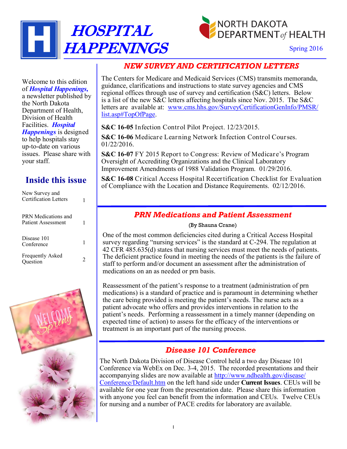



Spring 2016

# *NEW SURVEY AND CERTIFICATION LETTERS*

The Centers for Medicare and Medicaid Services (CMS) transmits memoranda, guidance, clarifications and instructions to state survey agencies and CMS regional offices through use of survey and certification (S&C) letters. Below is a list of the new S&C letters affecting hospitals since Nov. 2015. The S&C letters are available at: [www.cms.hhs.gov/SurveyCertificationGenInfo/PMSR/](http://www.cms.hhs.gov/SurveyCertificationGenInfo/PMSR/list.asp#TopOfPage) [list.asp#TopOfPage.](http://www.cms.hhs.gov/SurveyCertificationGenInfo/PMSR/list.asp#TopOfPage)

**S&C 16-05** Infection Control Pilot Project. 12/23/2015.

**S&C 16-06** Medicare Learning Network Infection Control Courses. 01/22/2016.

**S&C 16-07** FY 2015 Report to Congress: Review of Medicare's Program Oversight of Accrediting Organizations and the Clinical Laboratory Improvement Amendments of 1988 Validation Program. 01/29/2016.

**S&C 16-08** Critical Access Hospital Recertification Checklist for Evaluation of Compliance with the Location and Distance Requirements. 02/12/2016.

### *PRN Medications and Patient Assessment*

#### (By Shauna Crane)

One of the most common deficiencies cited during a Critical Access Hospital survey regarding "nursing services" is the standard at C-294. The regulation at 42 CFR 485.635(d) states that nursing services must meet the needs of patients. The deficient practice found in meeting the needs of the patients is the failure of staff to perform and/or document an assessment after the administration of medications on an as needed or prn basis.

Reassessment of the patient's response to a treatment (administration of prn medications) is a standard of practice and is paramount in determining whether the care being provided is meeting the patient's needs. The nurse acts as a patient advocate who offers and provides interventions in relation to the patient's needs. Performing a reassessment in a timely manner (depending on expected time of action) to assess for the efficacy of the interventions or treatment is an important part of the nursing process.

### *Disease 101 Conference*

The North Dakota Division of Disease Control held a two day Disease 101 Conference via WebEx on Dec. 3-4, 2015. The recorded presentations and their accompanying slides are now available at [http://www.ndhealth.gov/disease/](http://www.ndhealth.gov/disease/Conference/Default.htm) [Conference/Default.htm](http://www.ndhealth.gov/disease/Conference/Default.htm) on the left hand side under **Current Issues**. CEUs will be available for one year from the presentation date. Please share this information with anyone you feel can benefit from the information and CEUs. Twelve CEUs for nursing and a number of PACE credits for laboratory are available.

Welcome to this edition of *Hospital Happenings,* a newsletter published by the North Dakota Department of Health, Division of Health Facilities. *Hospital Happenings* is designed to help hospitals stay up-to-date on various issues. Please share with your staff.

# **Inside this issue**

| New Survey and<br>Certification Letters   |  |
|-------------------------------------------|--|
| PRN Medications and<br>Patient Assessment |  |
| Disease 101<br>Conference                 |  |
| <b>Frequently Asked</b><br>Question       |  |